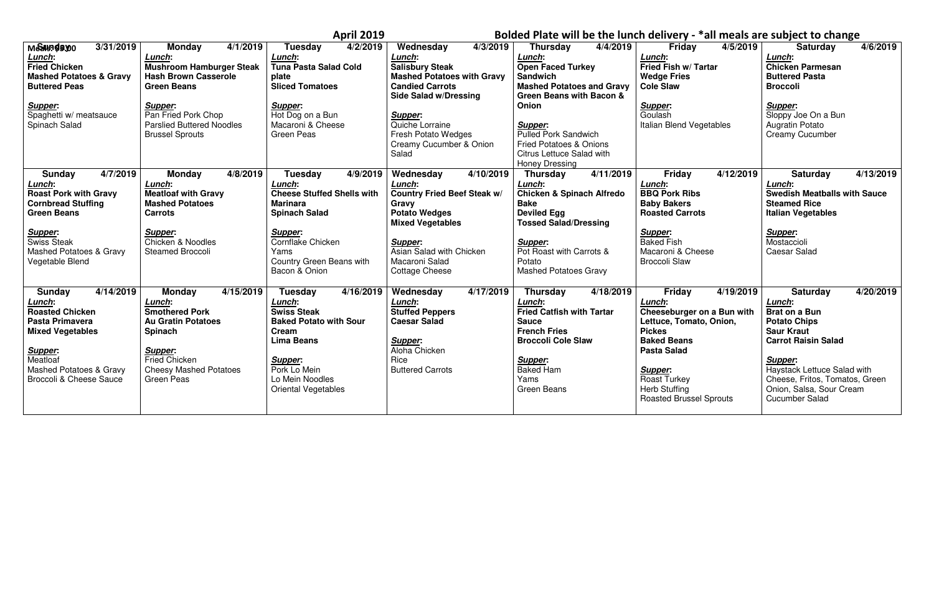|                                                                                                                                                                                                                         |                                                                                                                                                                                                                      | <b>April 2019</b>                                                                                                                                                                                                |                                                                                                                                                                                                                                                   |                                                                                                                                                                                                                                                                                                                       | Bolded Plate will be the lunch delivery - *all meals are subject to change                                                                                                                                                                             |                                                                                                                                                                                                                                                                           |
|-------------------------------------------------------------------------------------------------------------------------------------------------------------------------------------------------------------------------|----------------------------------------------------------------------------------------------------------------------------------------------------------------------------------------------------------------------|------------------------------------------------------------------------------------------------------------------------------------------------------------------------------------------------------------------|---------------------------------------------------------------------------------------------------------------------------------------------------------------------------------------------------------------------------------------------------|-----------------------------------------------------------------------------------------------------------------------------------------------------------------------------------------------------------------------------------------------------------------------------------------------------------------------|--------------------------------------------------------------------------------------------------------------------------------------------------------------------------------------------------------------------------------------------------------|---------------------------------------------------------------------------------------------------------------------------------------------------------------------------------------------------------------------------------------------------------------------------|
| 3/31/2019<br><b>МЫЗИНЭЯ ДО</b><br>Lunch:<br><b>Fried Chicken</b><br><b>Mashed Potatoes &amp; Gravy</b><br><b>Buttered Peas</b><br><b>Supper:</b><br>Spaghetti w/ meatsauce<br>Spinach Salad                             | 4/1/2019<br>Monday<br>Lunch:<br><b>Mushroom Hamburger Steak</b><br><b>Hash Brown Casserole</b><br><b>Green Beans</b><br>Supper:<br>Pan Fried Pork Chop<br><b>Parslied Buttered Noodles</b><br><b>Brussel Sprouts</b> | 4/2/2019<br><b>Tuesday</b><br>Lunch:<br><b>Tuna Pasta Salad Cold</b><br>plate<br><b>Sliced Tomatoes</b><br><b>Supper:</b><br>Hot Dog on a Bun<br>Macaroni & Cheese<br><b>Green Peas</b>                          | 4/3/2019<br>Wednesday<br>Lunch:<br><b>Salisbury Steak</b><br><b>Mashed Potatoes with Gravy</b><br><b>Candied Carrots</b><br><b>Side Salad w/Dressing</b><br>Supper:<br>Quiche Lorraine<br>Fresh Potato Wedges<br>Creamy Cucumber & Onion<br>Salad | 4/4/2019<br><b>Thursday</b><br>Lunch:<br><b>Open Faced Turkey</b><br><b>Sandwich</b><br><b>Mashed Potatoes and Gravy</b><br><b>Green Beans with Bacon &amp;</b><br>Onion<br>Supper:<br><b>Pulled Pork Sandwich</b><br><b>Fried Potatoes &amp; Onions</b><br><b>Citrus Lettuce Salad with</b><br><b>Honey Dressing</b> | 4/5/2019<br><b>Friday</b><br>Lunch:<br>Fried Fish w/ Tartar<br><b>Wedge Fries</b><br><b>Cole Slaw</b><br><b>Supper:</b><br>Goulash<br>Italian Blend Vegetables                                                                                         | 4/6/2019<br><b>Saturday</b><br>Lunch:<br><b>Chicken Parmesan</b><br><b>Buttered Pasta</b><br><b>Broccoli</b><br><b>Supper:</b><br>Sloppy Joe On a Bun<br>Augratin Potato<br><b>Creamy Cucumber</b>                                                                        |
| 4/7/2019<br><b>Sunday</b><br>Lunch:<br><b>Roast Pork with Gravy</b><br><b>Cornbread Stuffing</b><br><b>Green Beans</b><br><b>Supper:</b><br><b>Swiss Steak</b><br><b>Mashed Potatoes &amp; Gravy</b><br>Vegetable Blend | 4/8/2019<br><b>Monday</b><br>Lunch:<br><b>Meatloaf with Gravy</b><br><b>Mashed Potatoes</b><br><b>Carrots</b><br>Supper:<br>Chicken & Noodles<br><b>Steamed Broccoli</b>                                             | <b>Tuesday</b><br>4/9/2019<br>Lunch:<br><b>Cheese Stuffed Shells with</b><br><b>Marinara</b><br><b>Spinach Salad</b><br><b>Supper:</b><br>Cornflake Chicken<br>Yams<br>Country Green Beans with<br>Bacon & Onion | Wednesday<br>4/10/2019<br>Lunch:<br><b>Country Fried Beef Steak w/</b><br>Gravy<br><b>Potato Wedges</b><br><b>Mixed Vegetables</b><br><b>Supper:</b><br>Asian Salad with Chicken<br>Macaroni Salad<br><b>Cottage Cheese</b>                       | 4/11/2019<br><b>Thursday</b><br>Lunch:<br><b>Chicken &amp; Spinach Alfredo</b><br><b>Bake</b><br><b>Deviled Egg</b><br><b>Tossed Salad/Dressing</b><br><b>Supper:</b><br>Pot Roast with Carrots &<br>Potato<br><b>Mashed Potatoes Gravy</b>                                                                           | Friday<br>4/12/2019<br>Lunch:<br><b>BBQ Pork Ribs</b><br><b>Baby Bakers</b><br><b>Roasted Carrots</b><br>Supper:<br><b>Baked Fish</b><br>Macaroni & Cheese<br><b>Broccoli Slaw</b>                                                                     | 4/13/2019<br><b>Saturday</b><br>Lunch:<br><b>Swedish Meatballs with Sauce</b><br><b>Steamed Rice</b><br><b>Italian Vegetables</b><br><b>Supper:</b><br>Mostaccioli<br><b>Caesar Salad</b>                                                                                 |
| 4/14/2019<br>Sunday<br>Lunch:<br><b>Roasted Chicken</b><br>Pasta Primavera<br><b>Mixed Vegetables</b><br>Supper:<br>Meatloaf<br><b>Mashed Potatoes &amp; Gravy</b><br><b>Broccoli &amp; Cheese Sauce</b>                | 4/15/2019<br><b>Monday</b><br>Lunch:<br><b>Smothered Pork</b><br><b>Au Gratin Potatoes</b><br><b>Spinach</b><br><b>Supper:</b><br>Fried Chicken<br><b>Cheesy Mashed Potatoes</b><br><b>Green Peas</b>                | 4/16/2019<br>Tuesday<br>Lunch:<br><b>Swiss Steak</b><br><b>Baked Potato with Sour</b><br>Cream<br><b>Lima Beans</b><br>Supper:<br>Pork Lo Mein<br>Lo Mein Noodles<br>Oriental Vegetables                         | $\sqrt{4/17/2019}$<br>Wednesday<br>Lunch:<br><b>Stuffed Peppers</b><br><b>Caesar Salad</b><br><b>Supper:</b><br>Aloha Chicken<br>Rice<br><b>Buttered Carrots</b>                                                                                  | 4/18/2019<br><b>Thursday</b><br>Lunch:<br><b>Fried Catfish with Tartar</b><br><b>Sauce</b><br><b>French Fries</b><br><b>Broccoli Cole Slaw</b><br>Supper:<br><b>Baked Ham</b><br>Yams<br><b>Green Beans</b>                                                                                                           | <b>Friday</b><br>4/19/2019<br>Lunch:<br>Cheeseburger on a Bun with<br>Lettuce, Tomato, Onion,<br><b>Pickes</b><br><b>Baked Beans</b><br><b>Pasta Salad</b><br>Supper:<br><b>Roast Turkey</b><br><b>Herb Stuffing</b><br><b>Roasted Brussel Sprouts</b> | 4/20/2019<br><b>Saturday</b><br>Lunch:<br><b>Brat on a Bun</b><br><b>Potato Chips</b><br><b>Saur Kraut</b><br><b>Carrot Raisin Salad</b><br>Supper:<br>Haystack Lettuce Salad with<br>Cheese, Fritos, Tomatos, Green<br>Onion, Salsa, Sour Cream<br><b>Cucumber Salad</b> |